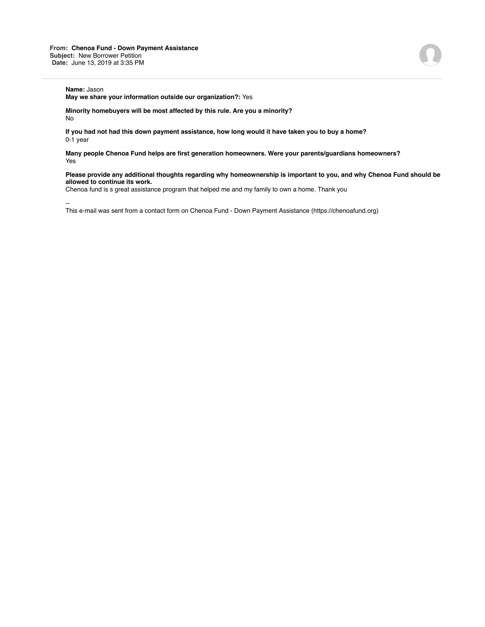## **Name:** Jason

**May we share your information outside our organization?:** Yes

**Minority homebuyers will be most affected by this rule. Are you a minority?** No

**If you had not had this down payment assistance, how long would it have taken you to buy a home?** 0-1 year

**Many people Chenoa Fund helps are first generation homeowners. Were your parents/guardians homeowners?** Yes

## **Please provide any additional thoughts regarding why homeownership is important to you, and why Chenoa Fund should be allowed to continue its work.**

Chenoa fund is s great assistance program that helped me and my family to own a home. Thank you

--

This e-mail was sent from a contact form on Chenoa Fund - Down Payment Assistance (https://chenoafund.org)